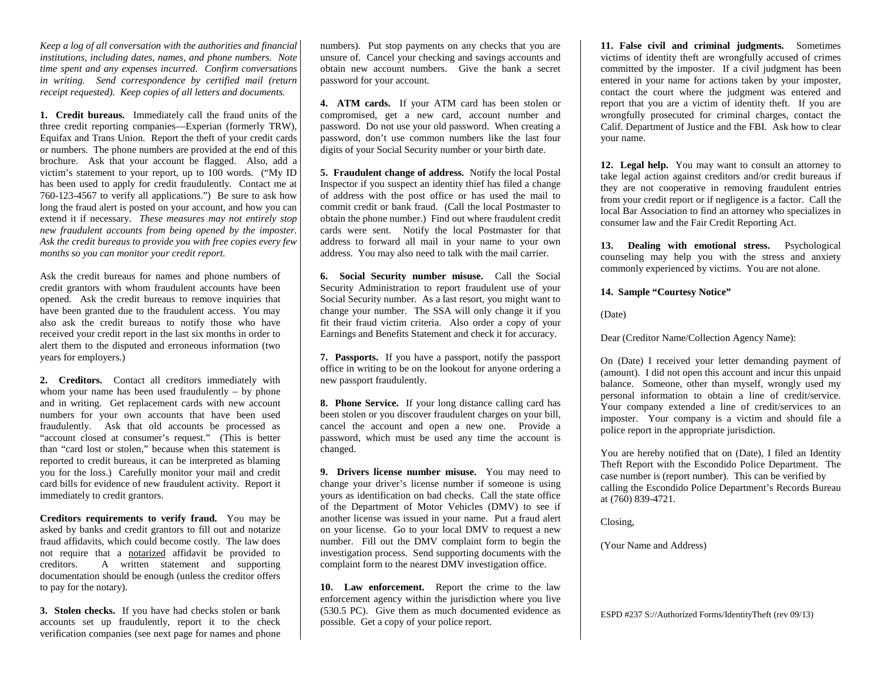*Keep a log of all conversation with the authorities and financial institutions, including dates, names, and phone numbers. Note time spent and any expenses incurred. Confirm conversations in writing. Send correspondence by certified mail (return receipt requested). Keep copies of all letters and documents.*

**1. Credit bureaus.** Immediately call the fraud units of the three credit reporting companies—Experian (formerly TRW), Equifax and Trans Union. Report the theft of your credit cards or numbers. The phone numbers are provided at the end of this brochure. Ask that your account be flagged. Also, add a victim's statement to your report, up to 100 words. ("My ID has been used to apply for credit fraudulently. Contact me at 760-123-4567 to verify all applications.") Be sure to ask how long the fraud alert is posted on your account, and how you can extend it if necessary. *These measures may not entirely stop new fraudulent accounts from being opened by the imposter. Ask the credit bureaus to provide you with free copies every few months so you can monitor your credit report.*

Ask the credit bureaus for names and phone numbers of credit grantors with whom fraudulent accounts have been opened. Ask the credit bureaus to remove inquiries that have been granted due to the fraudulent access. You may also ask the credit bureaus to notify those who have received your credit report in the last six months in order to alert them to the disputed and erroneous information (two years for employers.)

**2. Creditors.** Contact all creditors immediately with whom your name has been used fraudulently – by phone and in writing. Get replacement cards with new account numbers for your own accounts that have been used fraudulently. Ask that old accounts be processed as "account closed at consumer's request." (This is better than "card lost or stolen," because when this statement is reported to credit bureaus, it can be interpreted as blaming you for the loss.) Carefully monitor your mail and credit card bills for evidence of new fraudulent activity. Report it immediately to credit grantors.

**Creditors requirements to verify fraud.** You may be asked by banks and credit grantors to fill out and notarize fraud affidavits, which could become costly. The law does not require that a notarized affidavit be provided to creditors. A written statement and supporting documentation should be enough (unless the creditor offers to pay for the notary).

**3. Stolen checks.** If you have had checks stolen or bank accounts set up fraudulently, report it to the check verification companies (see next page for names and phone

numbers). Put stop payments on any checks that you are unsure of. Cancel your checking and savings accounts and obtain new account numbers. Give the bank a secret password for your account.

**4. ATM cards.** If your ATM card has been stolen or compromised, get a new card, account number and password. Do not use your old password. When creating a password, don't use common numbers like the last four digits of your Social Security number or your birth date.

**5. Fraudulent change of address.** Notify the local Postal Inspector if you suspect an identity thief has filed a change of address with the post office or has used the mail to commit credit or bank fraud. (Call the local Postmaster to obtain the phone number.) Find out where fraudulent credit cards were sent. Notify the local Postmaster for that address to forward all mail in your name to your own address. You may also need to talk with the mail carrier.

**6. Social Security number misuse.** Call the Social Security Administration to report fraudulent use of your Social Security number. As a last resort, you might want to change your number. The SSA will only change it if you fit their fraud victim criteria. Also order a copy of your Earnings and Benefits Statement and check it for accuracy.

**7. Passports.** If you have a passport, notify the passport office in writing to be on the lookout for anyone ordering a new passport fraudulently.

**8. Phone Service.** If your long distance calling card has been stolen or you discover fraudulent charges on your bill, cancel the account and open a new one. Provide a password, which must be used any time the account is changed.

**9. Drivers license number misuse.** You may need to change your driver's license number if someone is using yours as identification on bad checks. Call the state office of the Department of Motor Vehicles (DMV) to see if another license was issued in your name. Put a fraud alert on your license. Go to your local DMV to request a new number. Fill out the DMV complaint form to begin the investigation process. Send supporting documents with the complaint form to the nearest DMV investigation office.

**10. Law enforcement.** Report the crime to the law enforcement agency within the jurisdiction where you live (530.5 PC). Give them as much documented evidence as possible. Get a copy of your police report.

**11. False civil and criminal judgments.** Sometimes victims of identity theft are wrongfully accused of crimes committed by the imposter. If a civil judgment has been entered in your name for actions taken by your imposter, contact the court where the judgment was entered and report that you are a victim of identity theft. If you are wrongfully prosecuted for criminal charges, contact the Calif. Department of Justice and the FBI. Ask how to clear your name.

**12. Legal help.** You may want to consult an attorney to take legal action against creditors and/or credit bureaus if they are not cooperative in removing fraudulent entries from your credit report or if negligence is a factor. Call the local Bar Association to find an attorney who specializes in consumer law and the Fair Credit Reporting Act.

**13. Dealing with emotional stress.** Psychological counseling may help you with the stress and anxiety commonly experienced by victims. You are not alone.

**14. Sample "Courtesy Notice"**

(Date)

Dear (Creditor Name/Collection Agency Name):

On (Date) I received your letter demanding payment of (amount). I did not open this account and incur this unpaid balance. Someone, other than myself, wrongly used my personal information to obtain a line of credit/service. Your company extended a line of credit/services to an imposter. Your company is a victim and should file a police report in the appropriate jurisdiction.

You are hereby notified that on (Date), I filed an Identity Theft Report with the Escondido Police Department. The case number is (report number). This can be verified by calling the Escondido Police Department's Records Bureau at (760) 839-4721.

Closing,

(Your Name and Address)

ESPD #237 S://Authorized Forms/IdentityTheft (rev 09/13)